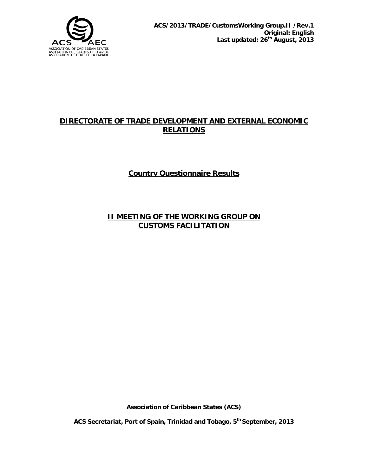

### **DIRECTORATE OF TRADE DEVELOPMENT AND EXTERNAL ECONOMIC RELATIONS**

**Country Questionnaire Results**

#### **II MEETING OF THE WORKING GROUP ON CUSTOMS FACILITATION**

**Association of Caribbean States (ACS)** 

**ACS Secretariat, Port of Spain, Trinidad and Tobago, 5th September, 2013**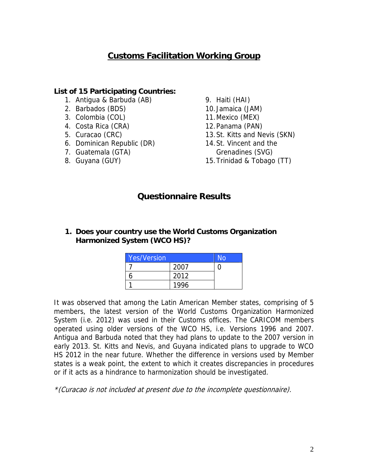# **Customs Facilitation Working Group**

#### **List of 15 Participating Countries:**

- 1. Antigua & Barbuda (AB)
- 2. Barbados (BDS)
- 3. Colombia (COL)
- 4. Costa Rica (CRA)
- 5. Curacao (CRC)
- 6. Dominican Republic (DR)
- 7. Guatemala (GTA)
- 8. Guyana (GUY)
- 9. Haiti (HAI)
- 10. Jamaica (JAM)
- 11.Mexico (MEX)
- 12.Panama (PAN)
- 13.St. Kitts and Nevis (SKN)
- 14.St. Vincent and the Grenadines (SVG)
- 15.Trinidad & Tobago (TT)

## **Questionnaire Results**

#### **1. Does your country use the World Customs Organization Harmonized System (WCO HS)?**

| <b>Yes/Version</b> |      | No |
|--------------------|------|----|
|                    | 2007 |    |
|                    | 2012 |    |
|                    | 1996 |    |

It was observed that among the Latin American Member states, comprising of 5 members, the latest version of the World Customs Organization Harmonized System (i.e. 2012) was used in their Customs offices. The CARICOM members operated using older versions of the WCO HS, i.e. Versions 1996 and 2007. Antigua and Barbuda noted that they had plans to update to the 2007 version in early 2013. St. Kitts and Nevis, and Guyana indicated plans to upgrade to WCO HS 2012 in the near future. Whether the difference in versions used by Member states is a weak point, the extent to which it creates discrepancies in procedures or if it acts as a hindrance to harmonization should be investigated.

\*(Curacao is not included at present due to the incomplete questionnaire).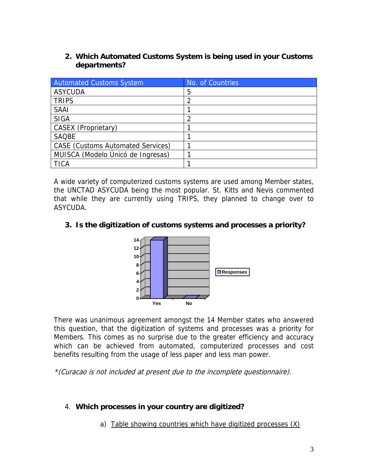**2. Which Automated Customs System is being used in your Customs departments?** 

| <b>Automated Customs System</b>          | No. of Countries |
|------------------------------------------|------------------|
| <b>ASYCUDA</b>                           | 5                |
| <b>TRIPS</b>                             |                  |
| <b>SAAI</b>                              |                  |
| <b>SIGA</b>                              |                  |
| CASEX (Proprietary)                      |                  |
| <b>SAQBE</b>                             |                  |
| <b>CASE</b> (Customs Automated Services) |                  |
| MUISCA (Modelo Únicó de Ingresas)        |                  |
| TICA                                     |                  |

A wide variety of computerized customs systems are used among Member states, the UNCTAD ASYCUDA being the most popular. St. Kitts and Nevis commented that while they are currently using TRIPS, they planned to change over to ASYCUDA.

#### **3. Is the digitization of customs systems and processes a priority?**



There was unanimous agreement amongst the 14 Member states who answered this question, that the digitization of systems and processes was a priority for Members. This comes as no surprise due to the greater efficiency and accuracy which can be achieved from automated, computerized processes and cost benefits resulting from the usage of less paper and less man power.

\*(Curacao is not included at present due to the incomplete questionnaire).

#### 4. **Which processes in your country are digitized?**

a) Table showing countries which have digitized processes (X)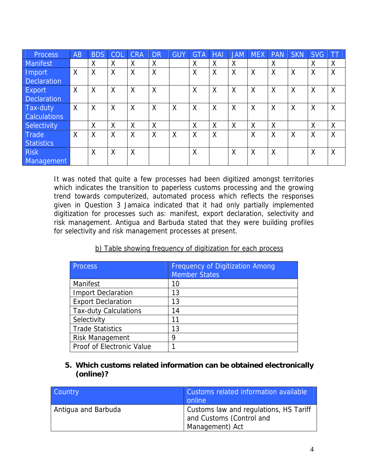| <b>Process</b>      | AB | <b>BDS</b> | COL | <b>CRA</b> | <b>DR</b> | <b>GUY</b> | <b>GTA</b> | <b>HAI</b> | <b>JAM</b> | <b>MEX</b> | <b>PAN</b> | <b>SKN</b> | <b>SVG</b> | IТТ |
|---------------------|----|------------|-----|------------|-----------|------------|------------|------------|------------|------------|------------|------------|------------|-----|
| <b>Manifest</b>     |    | Χ          | X   | X          | Χ         |            | X          | X          | X          |            | χ          |            | X          | Χ   |
| Import              | X  | X          | X   | X          | X         |            | X          | X          | X          | X          | X          | X          | $\times$   | X   |
| <b>Declaration</b>  |    |            |     |            |           |            |            |            |            |            |            |            |            |     |
| Export              | X  | X          | X   | $\times$   | X         |            | X          | X          | X          | X          | X          | X          | $\times$   | X   |
| <b>Declaration</b>  |    |            |     |            |           |            |            |            |            |            |            |            |            |     |
| Tax-duty            | X  | X          | X   | $\times$   | X         | $\sf X$    | $\times$   | X          | X          | X          | X          | $\times$   | X          | X   |
| <b>Calculations</b> |    |            |     |            |           |            |            |            |            |            |            |            |            |     |
| Selectivity         |    | X          | X   | X          | X         |            | X          | X          | X          | Χ          | X          |            | X          | χ   |
| Trade               | X  | X          | X   | $\times$   | X         | X          | X          | X          |            | X          | X          | $\times$   | $\times$   | X   |
| <b>Statistics</b>   |    |            |     |            |           |            |            |            |            |            |            |            |            |     |
| <b>Risk</b>         |    | X          | X   | $\times$   |           |            | X          |            | X          | X          | X          |            | X          | X   |
| Management          |    |            |     |            |           |            |            |            |            |            |            |            |            |     |

It was noted that quite a few processes had been digitized amongst territories which indicates the transition to paperless customs processing and the growing trend towards computerized, automated process which reflects the responses given in Question 3 Jamaica indicated that it had only partially implemented digitization for processes such as: manifest, export declaration, selectivity and risk management. Antigua and Barbuda stated that they were building profiles for selectivity and risk management processes at present.

| b) Table showing frequency of digitization for each process |  |  |  |  |
|-------------------------------------------------------------|--|--|--|--|
|                                                             |  |  |  |  |

| <b>Process</b>               | <b>Frequency of Digitization Among</b><br><b>Member States</b> |
|------------------------------|----------------------------------------------------------------|
| Manifest                     | 10                                                             |
| <b>Import Declaration</b>    | 13                                                             |
| <b>Export Declaration</b>    | 13                                                             |
| <b>Tax-duty Calculations</b> | 14                                                             |
| Selectivity                  | 11                                                             |
| <b>Trade Statistics</b>      | 13                                                             |
| <b>Risk Management</b>       | 9                                                              |
| Proof of Electronic Value    |                                                                |

#### **5. Which customs related information can be obtained electronically (online)?**

| Country             | Customs related information available<br>online                                       |
|---------------------|---------------------------------------------------------------------------------------|
| Antigua and Barbuda | Customs law and regulations, HS Tariff<br>and Customs (Control and<br>Management) Act |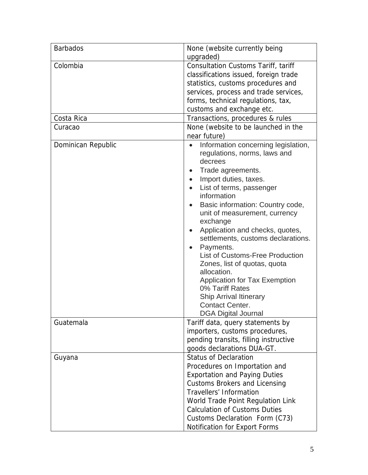| <b>Barbados</b>    | None (website currently being                                                               |
|--------------------|---------------------------------------------------------------------------------------------|
| Colombia           | upgraded)<br><b>Consultation Customs Tariff, tariff</b>                                     |
|                    |                                                                                             |
|                    | classifications issued, foreign trade                                                       |
|                    | statistics, customs procedures and                                                          |
|                    | services, process and trade services,                                                       |
|                    | forms, technical regulations, tax,<br>customs and exchange etc.                             |
| Costa Rica         | Transactions, procedures & rules                                                            |
| Curacao            | None (website to be launched in the                                                         |
|                    | near future)                                                                                |
| Dominican Republic | Information concerning legislation,<br>$\bullet$<br>regulations, norms, laws and<br>decrees |
|                    | Trade agreements.                                                                           |
|                    | Import duties, taxes.<br>$\bullet$                                                          |
|                    | List of terms, passenger<br>$\bullet$                                                       |
|                    | information                                                                                 |
|                    | Basic information: Country code,<br>$\bullet$                                               |
|                    | unit of measurement, currency                                                               |
|                    | exchange                                                                                    |
|                    | Application and checks, quotes,                                                             |
|                    | settlements, customs declarations.                                                          |
|                    | Payments.                                                                                   |
|                    | <b>List of Customs-Free Production</b>                                                      |
|                    | Zones, list of quotas, quota                                                                |
|                    | allocation.                                                                                 |
|                    | <b>Application for Tax Exemption</b><br>0% Tariff Rates                                     |
|                    | <b>Ship Arrival Itinerary</b>                                                               |
|                    | <b>Contact Center.</b>                                                                      |
|                    | <b>DGA Digital Journal</b>                                                                  |
| Guatemala          | Tariff data, query statements by                                                            |
|                    | importers, customs procedures,                                                              |
|                    | pending transits, filling instructive                                                       |
|                    | goods declarations DUA-GT.                                                                  |
| Guyana             | <b>Status of Declaration</b>                                                                |
|                    | Procedures on Importation and                                                               |
|                    | <b>Exportation and Paying Duties</b>                                                        |
|                    | <b>Customs Brokers and Licensing</b>                                                        |
|                    | <b>Travellers' Information</b>                                                              |
|                    | World Trade Point Regulation Link                                                           |
|                    | <b>Calculation of Customs Duties</b>                                                        |
|                    | Customs Declaration Form (C73)                                                              |
|                    | <b>Notification for Export Forms</b>                                                        |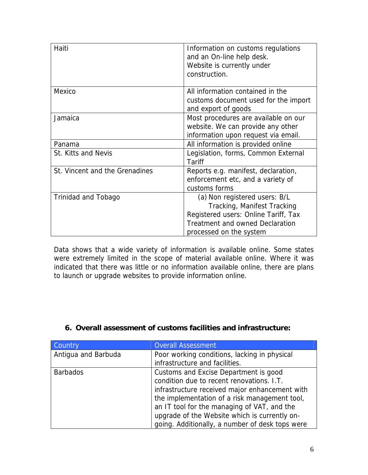| Haiti                          | Information on customs regulations<br>and an On-line help desk.<br>Website is currently under<br>construction.                                                            |
|--------------------------------|---------------------------------------------------------------------------------------------------------------------------------------------------------------------------|
| Mexico                         | All information contained in the<br>customs document used for the import<br>and export of goods                                                                           |
| Jamaica                        | Most procedures are available on our<br>website. We can provide any other<br>information upon request via email.                                                          |
| Panama                         | All information is provided online                                                                                                                                        |
| St. Kitts and Nevis            | Legislation, forms, Common External<br>Tariff                                                                                                                             |
| St. Vincent and the Grenadines | Reports e.g. manifest, declaration,<br>enforcement etc, and a variety of<br>customs forms                                                                                 |
| Trinidad and Tobago            | (a) Non registered users: B/L<br>Tracking, Manifest Tracking<br>Registered users: Online Tariff, Tax<br><b>Treatment and owned Declaration</b><br>processed on the system |

Data shows that a wide variety of information is available online. Some states were extremely limited in the scope of material available online. Where it was indicated that there was little or no information available online, there are plans to launch or upgrade websites to provide information online.

#### **6. Overall assessment of customs facilities and infrastructure:**

| <b>Country</b>      | <b>Overall Assessment</b>                       |  |  |  |  |
|---------------------|-------------------------------------------------|--|--|--|--|
| Antiqua and Barbuda | Poor working conditions, lacking in physical    |  |  |  |  |
|                     | infrastructure and facilities.                  |  |  |  |  |
| <b>Barbados</b>     | Customs and Excise Department is good           |  |  |  |  |
|                     | condition due to recent renovations. I.T.       |  |  |  |  |
|                     | infrastructure received major enhancement with  |  |  |  |  |
|                     | the implementation of a risk management tool,   |  |  |  |  |
|                     | an IT tool for the managing of VAT, and the     |  |  |  |  |
|                     | upgrade of the Website which is currently on-   |  |  |  |  |
|                     | going. Additionally, a number of desk tops were |  |  |  |  |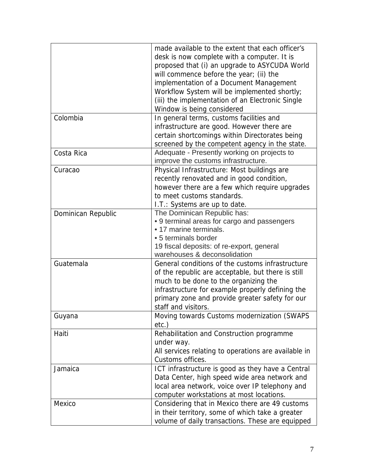|                    | made available to the extent that each officer's     |
|--------------------|------------------------------------------------------|
|                    | desk is now complete with a computer. It is          |
|                    | proposed that (i) an upgrade to ASYCUDA World        |
|                    | will commence before the year; (ii) the              |
|                    | implementation of a Document Management              |
|                    | Workflow System will be implemented shortly;         |
|                    | (iii) the implementation of an Electronic Single     |
|                    | Window is being considered                           |
| Colombia           | In general terms, customs facilities and             |
|                    | infrastructure are good. However there are           |
|                    | certain shortcomings within Directorates being       |
|                    | screened by the competent agency in the state.       |
| Costa Rica         | Adequate - Presently working on projects to          |
|                    | improve the customs infrastructure.                  |
| Curacao            | Physical Infrastructure: Most buildings are          |
|                    | recently renovated and in good condition,            |
|                    | however there are a few which require upgrades       |
|                    | to meet customs standards.                           |
|                    | I.T.: Systems are up to date.                        |
| Dominican Republic | The Dominican Republic has:                          |
|                    | • 9 terminal areas for cargo and passengers          |
|                    | • 17 marine terminals.                               |
|                    | • 5 terminals border                                 |
|                    | 19 fiscal deposits: of re-export, general            |
|                    | warehouses & deconsolidation                         |
| Guatemala          | General conditions of the customs infrastructure     |
|                    | of the republic are acceptable, but there is still   |
|                    | much to be done to the organizing the                |
|                    | infrastructure for example properly defining the     |
|                    | primary zone and provide greater safety for our      |
|                    | staff and visitors.                                  |
| Guyana             | Moving towards Customs modernization (SWAPS          |
|                    | $etc.$ )                                             |
| Haiti              | Rehabilitation and Construction programme            |
|                    | under way.                                           |
|                    | All services relating to operations are available in |
|                    | Customs offices.                                     |
| Jamaica            | ICT infrastructure is good as they have a Central    |
|                    | Data Center, high speed wide area network and        |
|                    | local area network, voice over IP telephony and      |
|                    | computer workstations at most locations.             |
| Mexico             | Considering that in Mexico there are 49 customs      |
|                    | in their territory, some of which take a greater     |
|                    | volume of daily transactions. These are equipped     |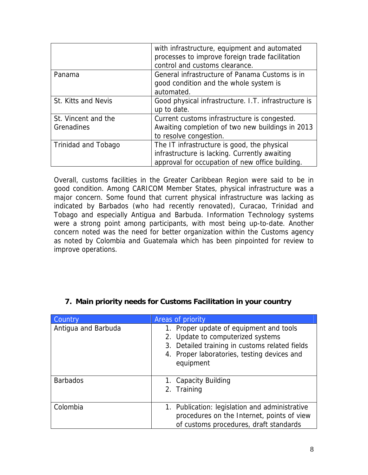|                                   | with infrastructure, equipment and automated<br>processes to improve foreign trade facilitation<br>control and customs clearance.               |
|-----------------------------------|-------------------------------------------------------------------------------------------------------------------------------------------------|
| Panama                            | General infrastructure of Panama Customs is in<br>good condition and the whole system is<br>automated.                                          |
| St. Kitts and Nevis               | Good physical infrastructure. I.T. infrastructure is<br>up to date.                                                                             |
| St. Vincent and the<br>Grenadines | Current customs infrastructure is congested.<br>Awaiting completion of two new buildings in 2013<br>to resolve congestion.                      |
| <b>Trinidad and Tobago</b>        | The IT infrastructure is good, the physical<br>infrastructure is lacking. Currently awaiting<br>approval for occupation of new office building. |

Overall, customs facilities in the Greater Caribbean Region were said to be in good condition. Among CARICOM Member States, physical infrastructure was a major concern. Some found that current physical infrastructure was lacking as indicated by Barbados (who had recently renovated), Curacao, Trinidad and Tobago and especially Antigua and Barbuda. Information Technology systems were a strong point among participants, with most being up-to-date. Another concern noted was the need for better organization within the Customs agency as noted by Colombia and Guatemala which has been pinpointed for review to improve operations.

| Country             | Areas of priority                                                                                                                                                                          |
|---------------------|--------------------------------------------------------------------------------------------------------------------------------------------------------------------------------------------|
| Antigua and Barbuda | 1. Proper update of equipment and tools<br>2. Update to computerized systems<br>3. Detailed training in customs related fields<br>4. Proper laboratories, testing devices and<br>equipment |
| <b>Barbados</b>     | 1. Capacity Building<br>2. Training                                                                                                                                                        |
| Colombia            | 1. Publication: legislation and administrative<br>procedures on the Internet, points of view<br>of customs procedures, draft standards                                                     |

## **7. Main priority needs for Customs Facilitation in your country**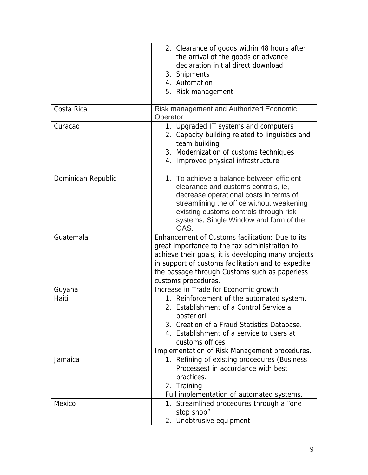|                    | 2. Clearance of goods within 48 hours after                |
|--------------------|------------------------------------------------------------|
|                    | the arrival of the goods or advance                        |
|                    | declaration initial direct download                        |
|                    | 3. Shipments                                               |
|                    | 4. Automation                                              |
|                    | 5. Risk management                                         |
|                    |                                                            |
| Costa Rica         | <b>Risk management and Authorized Economic</b><br>Operator |
| Curacao            | 1. Upgraded IT systems and computers                       |
|                    | 2. Capacity building related to linguistics and            |
|                    | team building                                              |
|                    | 3. Modernization of customs techniques                     |
|                    | 4. Improved physical infrastructure                        |
| Dominican Republic | 1. To achieve a balance between efficient                  |
|                    | clearance and customs controls, ie,                        |
|                    | decrease operational costs in terms of                     |
|                    | streamlining the office without weakening                  |
|                    | existing customs controls through risk                     |
|                    | systems, Single Window and form of the                     |
|                    | OAS.                                                       |
|                    |                                                            |
| Guatemala          | Enhancement of Customs facilitation: Due to its            |
|                    | great importance to the tax administration to              |
|                    | achieve their goals, it is developing many projects        |
|                    | in support of customs facilitation and to expedite         |
|                    | the passage through Customs such as paperless              |
|                    | customs procedures.                                        |
| Guyana             | Increase in Trade for Economic growth                      |
| Haiti              | 1. Reinforcement of the automated system.                  |
|                    | 2. Establishment of a Control Service a                    |
|                    | posteriori                                                 |
|                    | 3. Creation of a Fraud Statistics Database.                |
|                    | 4. Establishment of a service to users at                  |
|                    | customs offices                                            |
|                    | Implementation of Risk Management procedures.              |
| Jamaica            | 1. Refining of existing procedures (Business               |
|                    | Processes) in accordance with best                         |
|                    | practices.                                                 |
|                    | 2. Training                                                |
|                    |                                                            |
| Mexico             | Full implementation of automated systems.                  |
|                    | 1. Streamlined procedures through a "one<br>stop shop"     |